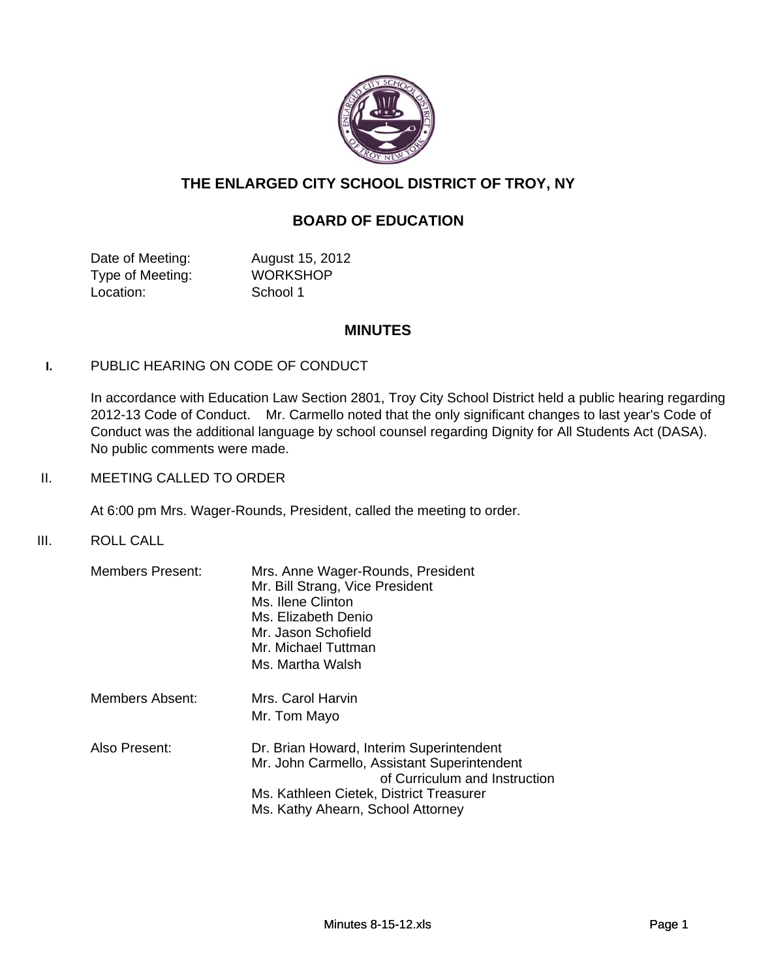

# **THE ENLARGED CITY SCHOOL DISTRICT OF TROY, NY**

# **BOARD OF EDUCATION**

Date of Meeting: August 15, 2012 Type of Meeting: WORKSHOP Location: School 1

## **MINUTES**

## **I.** PUBLIC HEARING ON CODE OF CONDUCT

In accordance with Education Law Section 2801, Troy City School District held a public hearing regarding 2012-13 Code of Conduct. Mr. Carmello noted that the only significant changes to last year's Code of Conduct was the additional language by school counsel regarding Dignity for All Students Act (DASA). No public comments were made.

II. MEETING CALLED TO ORDER

At 6:00 pm Mrs. Wager-Rounds, President, called the meeting to order.

III. ROLL CALL

| <b>Members Present:</b> | Mrs. Anne Wager-Rounds, President<br>Mr. Bill Strang, Vice President<br>Ms. Ilene Clinton<br>Ms. Elizabeth Denio<br>Mr. Jason Schofield<br>Mr. Michael Tuttman<br>Ms. Martha Walsh                       |
|-------------------------|----------------------------------------------------------------------------------------------------------------------------------------------------------------------------------------------------------|
| Members Absent:         | Mrs. Carol Harvin<br>Mr. Tom Mayo                                                                                                                                                                        |
| Also Present:           | Dr. Brian Howard, Interim Superintendent<br>Mr. John Carmello, Assistant Superintendent<br>of Curriculum and Instruction<br>Ms. Kathleen Cietek, District Treasurer<br>Ms. Kathy Ahearn, School Attorney |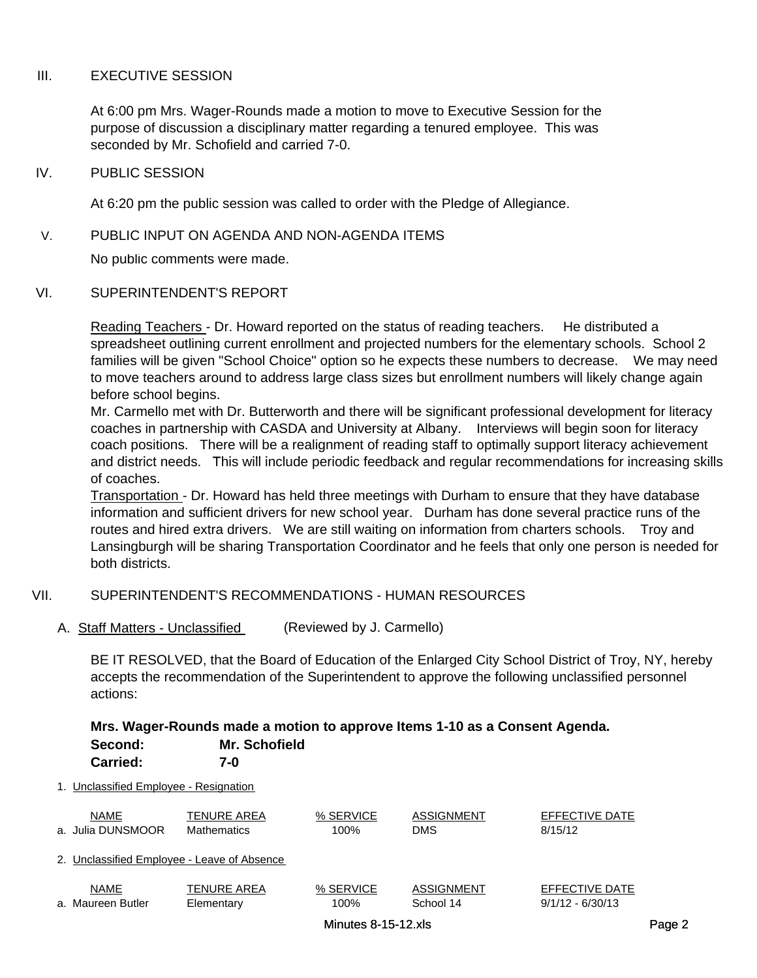## III. EXECUTIVE SESSION

At 6:00 pm Mrs. Wager-Rounds made a motion to move to Executive Session for the purpose of discussion a disciplinary matter regarding a tenured employee. This was seconded by Mr. Schofield and carried 7-0.

### IV. PUBLIC SESSION

At 6:20 pm the public session was called to order with the Pledge of Allegiance.

### V. PUBLIC INPUT ON AGENDA AND NON-AGENDA ITEMS

No public comments were made.

# VI. SUPERINTENDENT'S REPORT

Reading Teachers - Dr. Howard reported on the status of reading teachers. He distributed a spreadsheet outlining current enrollment and projected numbers for the elementary schools. School 2 families will be given "School Choice" option so he expects these numbers to decrease. We may need to move teachers around to address large class sizes but enrollment numbers will likely change again before school begins.

Mr. Carmello met with Dr. Butterworth and there will be significant professional development for literacy coaches in partnership with CASDA and University at Albany. Interviews will begin soon for literacy coach positions. There will be a realignment of reading staff to optimally support literacy achievement and district needs. This will include periodic feedback and regular recommendations for increasing skills of coaches.

Transportation - Dr. Howard has held three meetings with Durham to ensure that they have database information and sufficient drivers for new school year. Durham has done several practice runs of the routes and hired extra drivers. We are still waiting on information from charters schools. Troy and Lansingburgh will be sharing Transportation Coordinator and he feels that only one person is needed for both districts.

## VII. SUPERINTENDENT'S RECOMMENDATIONS - HUMAN RESOURCES

A. Staff Matters - Unclassified (Reviewed by J. Carmello)

BE IT RESOLVED, that the Board of Education of the Enlarged City School District of Troy, NY, hereby accepts the recommendation of the Superintendent to approve the following unclassified personnel actions:

#### **Mrs. Wager-Rounds made a motion to approve Items 1-10 as a Consent Agenda. Second: Mr. Schofield Carried: 7-0**

| Garricu.                               | 7 - V |
|----------------------------------------|-------|
| 1. Unclassified Employee - Resignation |       |

|                                             | <b>NAME</b>       | TENURE AREA        | % SERVICE | ASSIGNMENT | EFFECTIVE DATE     |
|---------------------------------------------|-------------------|--------------------|-----------|------------|--------------------|
|                                             | a. Julia DUNSMOOR | <b>Mathematics</b> | 100%      | <b>DMS</b> | 8/15/12            |
| 2. Unclassified Employee - Leave of Absence |                   |                    |           |            |                    |
|                                             | <b>NAME</b>       | <b>TENURE AREA</b> | % SERVICE | ASSIGNMENT | EFFECTIVE DATE     |
|                                             | a. Maureen Butler | Elementary         | 100%      | School 14  | $9/1/12 - 6/30/13$ |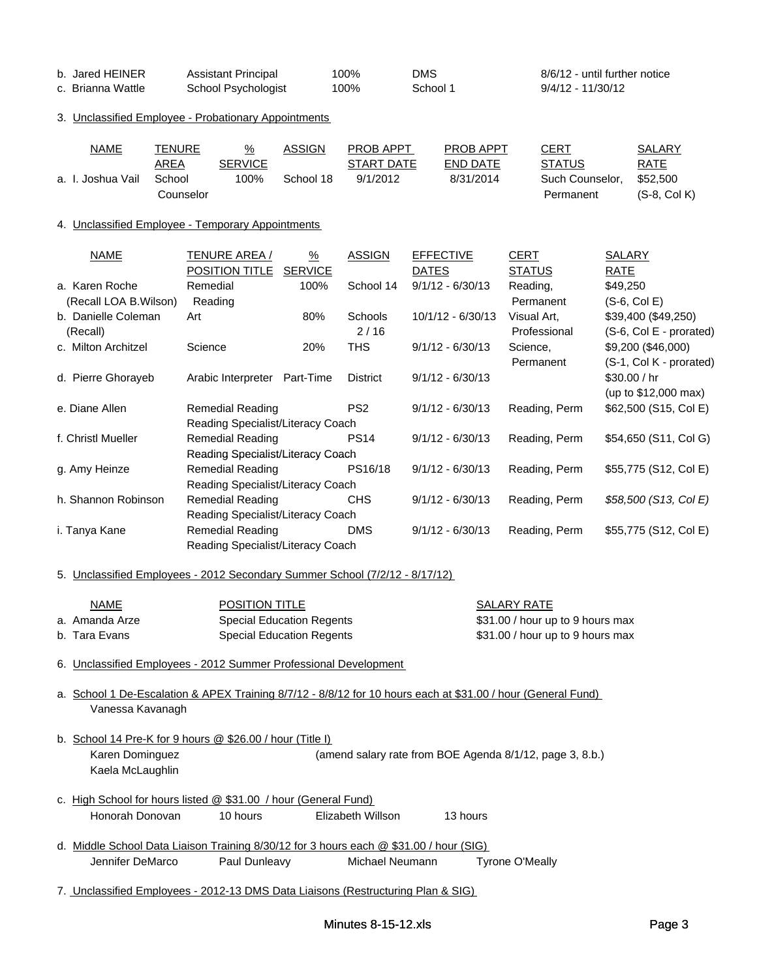| b. Jared HEINER   | <b>Assistant Principal</b> | 100% | DMS      | 8/6/12 - until further notice |
|-------------------|----------------------------|------|----------|-------------------------------|
| c. Brianna Wattle | School Psychologist        | 100% | School 1 | 9/4/12 - 11/30/12             |

#### 3. Unclassified Employee - Probationary Appointments

| <b>NAME</b>       | TENURE    | $\frac{9}{6}$  | ASSIGN    | <b>PROB APPT</b> | <b>PROB APPT</b> | CERT            | SALARY         |
|-------------------|-----------|----------------|-----------|------------------|------------------|-----------------|----------------|
|                   | AREA      | <b>SERVICE</b> |           | START DATE       | END DATE         | <b>STATUS</b>   | RATE           |
| a. I. Joshua Vail | School    | 100%           | School 18 | 9/1/2012         | 8/31/2014        | Such Counselor. | \$52.500       |
|                   | Counselor |                |           |                  |                  | Permanent       | $(S-8, Col K)$ |

#### 4. Unclassified Employee - Temporary Appointments

| NAME                   | TENURE AREA /                                                               | $\frac{9}{6}$  | <b>ASSIGN</b>   | <b>EFFECTIVE</b>   | CERT          | SALARY                  |  |  |  |
|------------------------|-----------------------------------------------------------------------------|----------------|-----------------|--------------------|---------------|-------------------------|--|--|--|
|                        | POSITION TITLE                                                              | <b>SERVICE</b> |                 | <b>DATES</b>       | <b>STATUS</b> | RATE                    |  |  |  |
| a. Karen Roche         | Remedial                                                                    | 100%           | School 14       | $9/1/12 - 6/30/13$ | Reading,      | \$49,250                |  |  |  |
| (Recall LOA B. Wilson) | Reading                                                                     |                |                 |                    | Permanent     | $(S-6, Col E)$          |  |  |  |
| b. Danielle Coleman    | Art                                                                         | 80%            | Schools         | 10/1/12 - 6/30/13  | Visual Art,   | \$39,400 (\$49,250)     |  |  |  |
| (Recall)               |                                                                             |                | 2/16            |                    | Professional  | (S-6, Col E - prorated) |  |  |  |
| c. Milton Architzel    | Science                                                                     | 20%            | <b>THS</b>      | $9/1/12 - 6/30/13$ | Science,      | \$9,200 (\$46,000)      |  |  |  |
|                        |                                                                             |                |                 |                    | Permanent     | (S-1, Col K - prorated) |  |  |  |
| d. Pierre Ghorayeb     | Arabic Interpreter                                                          | Part-Time      | <b>District</b> | $9/1/12 - 6/30/13$ |               | \$30.00 / hr            |  |  |  |
|                        |                                                                             |                |                 |                    |               | (up to \$12,000 max)    |  |  |  |
| e. Diane Allen         | <b>Remedial Reading</b>                                                     |                | PS <sub>2</sub> | $9/1/12 - 6/30/13$ | Reading, Perm | \$62,500 (S15, Col E)   |  |  |  |
|                        | Reading Specialist/Literacy Coach                                           |                |                 |                    |               |                         |  |  |  |
| f. Christl Mueller     | <b>Remedial Reading</b>                                                     |                | <b>PS14</b>     | $9/1/12 - 6/30/13$ | Reading, Perm | \$54,650 (S11, Col G)   |  |  |  |
|                        | Reading Specialist/Literacy Coach                                           |                |                 |                    |               |                         |  |  |  |
| g. Amy Heinze          | <b>Remedial Reading</b>                                                     |                | PS16/18         | $9/1/12 - 6/30/13$ | Reading, Perm | \$55,775 (S12, Col E)   |  |  |  |
|                        | Reading Specialist/Literacy Coach                                           |                |                 |                    |               |                         |  |  |  |
| h. Shannon Robinson    | <b>Remedial Reading</b>                                                     |                | CHS             | $9/1/12 - 6/30/13$ | Reading, Perm | \$58,500 (S13, Col E)   |  |  |  |
|                        | Reading Specialist/Literacy Coach                                           |                |                 |                    |               |                         |  |  |  |
| i. Tanya Kane          | <b>Remedial Reading</b>                                                     |                | <b>DMS</b>      | $9/1/12 - 6/30/13$ | Reading, Perm | \$55,775 (S12, Col E)   |  |  |  |
|                        | Reading Specialist/Literacy Coach                                           |                |                 |                    |               |                         |  |  |  |
|                        |                                                                             |                |                 |                    |               |                         |  |  |  |
|                        | 5. Unclassified Employees - 2012 Secondary Summer School (7/2/12 - 8/17/12) |                |                 |                    |               |                         |  |  |  |

| <u>NAME</u>    | <b>POSITION TITLE</b>     | SALARY RATE                      |
|----------------|---------------------------|----------------------------------|
| a. Amanda Arze | Special Education Regents | \$31.00 / hour up to 9 hours max |
| b. Tara Evans  | Special Education Regents | \$31.00 / hour up to 9 hours max |

6. Unclassified Employees - 2012 Summer Professional Development

a. School 1 De-Escalation & APEX Training 8/7/12 - 8/8/12 for 10 hours each at \$31.00 / hour (General Fund) Vanessa Kavanagh

- b. School 14 Pre-K for 9 hours @ \$26.00 / hour (Title I) Karen Dominguez **(amend salary rate from BOE Agenda 8/1/12**, page 3, 8.b.) Kaela McLaughlin
- c. High School for hours listed @ \$31.00 / hour (General Fund) Honorah Donovan 10 hours Elizabeth Willson 13 hours
- d. Middle School Data Liaison Training 8/30/12 for 3 hours each @ \$31.00 / hour (SIG) Jennifer DeMarco Paul Dunleavy Michael Neumann Tyrone O'Meally
- 7. Unclassified Employees 2012-13 DMS Data Liaisons (Restructuring Plan & SIG)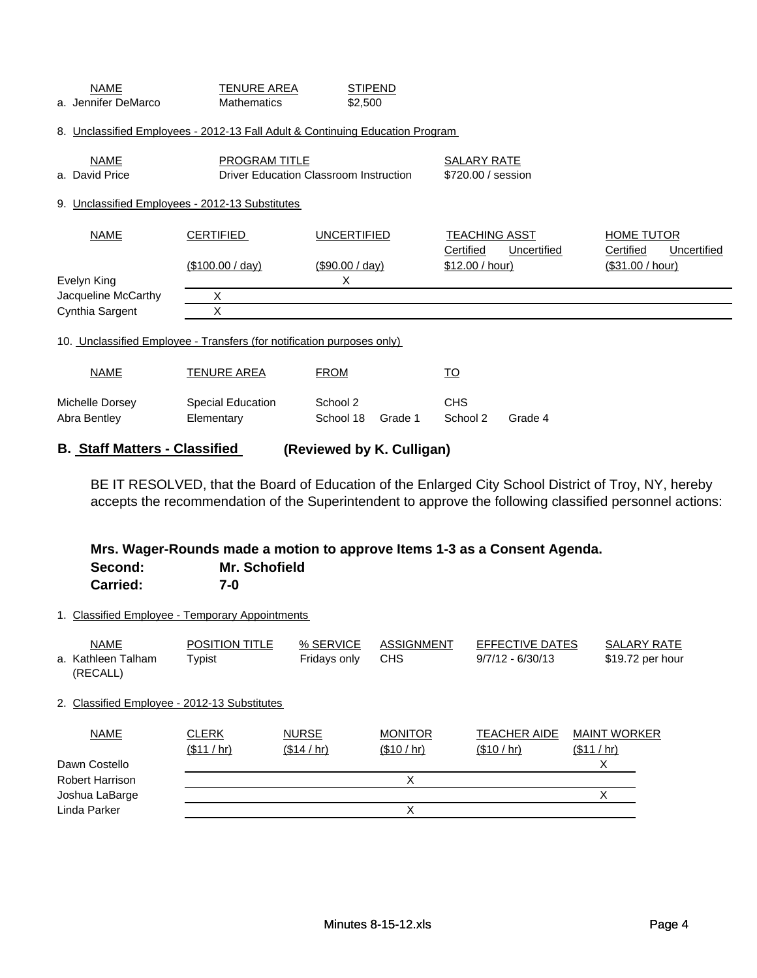| <b>SALARY RATE</b><br>\$720,00 / session |  |  |
|------------------------------------------|--|--|
|                                          |  |  |
| <b>HOME TUTOR</b><br>Uncertified         |  |  |
| (\$31.00 / hour)                         |  |  |
|                                          |  |  |
|                                          |  |  |
|                                          |  |  |
|                                          |  |  |
|                                          |  |  |
|                                          |  |  |
|                                          |  |  |

**B. Staff Matters - Classified (Reviewed by K. Culligan)**

**(Reviewed by K. Culligan)**<br>BE IT RESOLVED, that the Board of Education of the Enlarged City School District of<br>accepts the recommendation of the Superintendent to approve the following classified<br>Mrs. Wager-Rounds made a BE IT RESOLVED, that the Board of Education of the Enlarged City School District of Troy, NY, hereby accepts the recommendation of the Superintendent to approve the following classified personnel actions:

# **Second: Mr. Schofield Carried: 7-0**

1. Classified Employee - Temporary Appointments

| <b>NAME</b><br>a. Kathleen Talham<br>(RECALL) | POSITION TITLE<br>Typist  | % SERVICE<br>Fridays only   | <b>ASSIGNMENT</b><br><b>CHS</b> | EFFECTIVE DATES<br>$9/7/12 - 6/30/13$ | <b>SALARY RATE</b><br>\$19.72 per hour |
|-----------------------------------------------|---------------------------|-----------------------------|---------------------------------|---------------------------------------|----------------------------------------|
| 2. Classified Employee - 2012-13 Substitutes  |                           |                             |                                 |                                       |                                        |
| <b>NAME</b>                                   | <b>CLERK</b><br>(\$11/hr) | <b>NURSE</b><br>(\$14 / hr) | <b>MONITOR</b><br>(\$10 / hr)   | <b>TEACHER AIDE</b><br>(\$10 / hr)    | <b>MAINT WORKER</b><br>(\$11/hr)       |
| Dawn Costello                                 |                           |                             |                                 |                                       | х                                      |
| Robert Harrison                               |                           |                             | Χ                               |                                       |                                        |
| Joshua LaBarge                                |                           |                             |                                 |                                       | Χ                                      |
| Linda Parker                                  |                           |                             | Χ                               |                                       |                                        |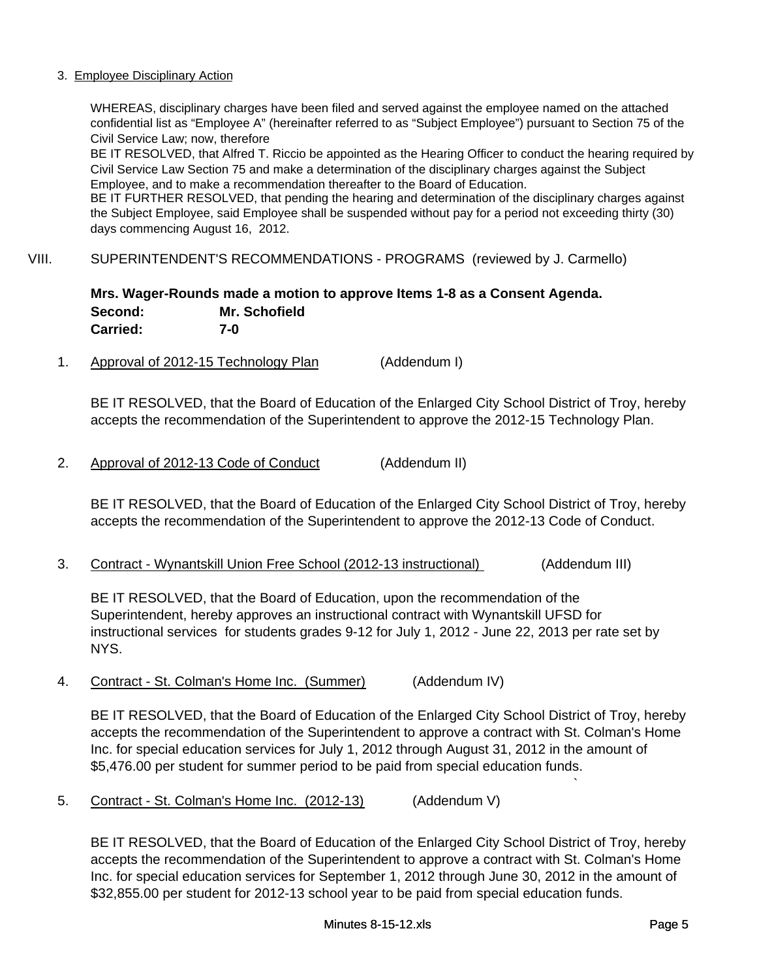### 3. Employee Disciplinary Action

WHEREAS, disciplinary charges have been filed and served against the employee named on the attached confidential list as "Employee A" (hereinafter referred to as "Subject Employee") pursuant to Section 75 of the Civil Service Law; now, therefore

BE IT RESOLVED, that Alfred T. Riccio be appointed as the Hearing Officer to conduct the hearing required by Civil Service Law Section 75 and make a determination of the disciplinary charges against the Subject Employee, and to make a recommendation thereafter to the Board of Education.

BE IT FURTHER RESOLVED, that pending the hearing and determination of the disciplinary charges against the Subject Employee, said Employee shall be suspended without pay for a period not exceeding thirty (30) days commencing August 16, 2012.

## VIII. SUPERINTENDENT'S RECOMMENDATIONS - PROGRAMS (reviewed by J. Carmello)

# **Mrs. Wager-Rounds made a motion to approve Items 1-8 as a Consent Agenda. Second: Mr. Schofield Carried: 7-0**

1. Approval of 2012-15 Technology Plan (Addendum I)

BE IT RESOLVED, that the Board of Education of the Enlarged City School District of Troy, hereby accepts the recommendation of the Superintendent to approve the 2012-15 Technology Plan.

2. Approval of 2012-13 Code of Conduct (Addendum II)

2. Approval of 2012-13 Code of Conduct (Addendum II)<br>BE IT RESOLVED, that the Board of Education of the Enlarged City School District of Troy<br>accepts the recommendation of the Superintendent to approve the 2012-13 Code of BE IT RESOLVED, that the Board of Education of the Enlarged City School District of Troy, hereby accepts the recommendation of the Superintendent to approve the 2012-13 Code of Conduct.

BE IT RESOLVED, that the Board of Education, upon the recommendation of the Superintendent, hereby approves an instructional contract with Wynantskill UFSD for instructional services for students grades 9-12 for July 1, 2012 - June 22, 2013 per rate set by NYS.

4. Contract - St. Colman's Home Inc. (Summer) (Addendum IV)

BE IT RESOLVED, that the Board of Education of the Enlarged City School District of Troy, hereby accepts the recommendation of the Superintendent to approve a contract with St. Colman's Home Inc. for special education services for July 1, 2012 through August 31, 2012 in the amount of \$5,476.00 per student for summer period to be paid from special education funds.

5. Contract - St. Colman's Home Inc. (2012-13) (Addendum V)

BE IT RESOLVED, that the Board of Education of the Enlarged City School District of Troy, hereby accepts the recommendation of the Superintendent to approve a contract with St. Colman's Home Inc. for special education services for September 1, 2012 through June 30, 2012 in the amount of \$32,855.00 per student for 2012-13 school year to be paid from special education funds.

`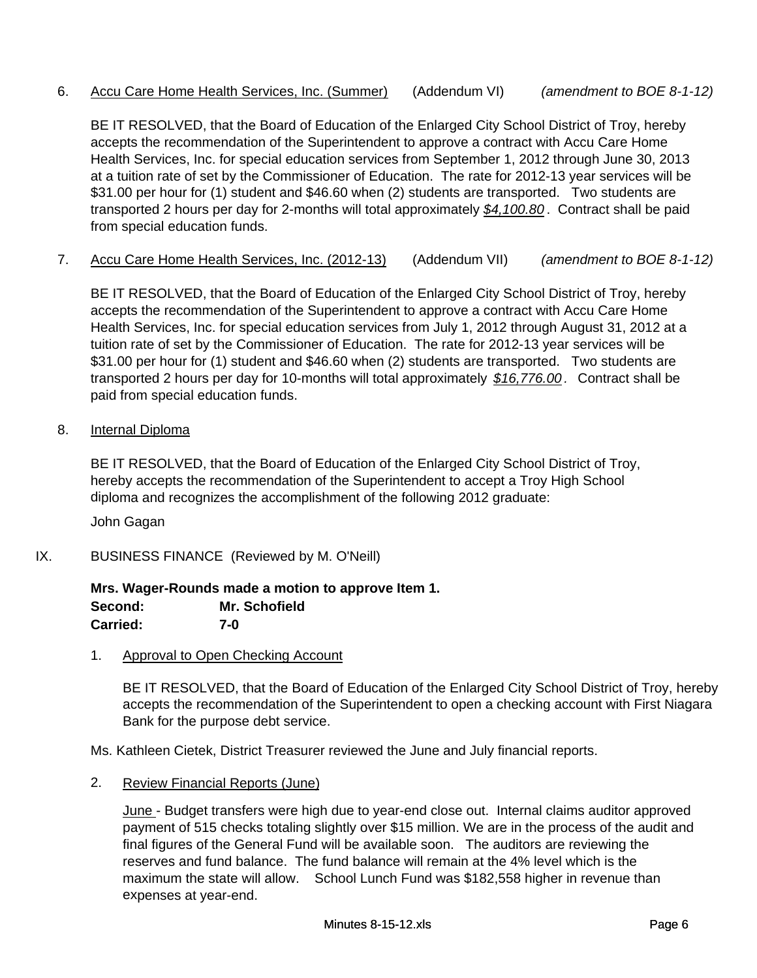# 6. Accu Care Home Health Services, Inc. (Summer) (Addendum VI) *(amendment to BOE 8-1-12)*

BE IT RESOLVED, that the Board of Education of the Enlarged City School District of Troy, hereby accepts the recommendation of the Superintendent to approve a contract with Accu Care Home Health Services, Inc. for special education services from September 1, 2012 through June 30, 2013 at a tuition rate of set by the Commissioner of Education. The rate for 2012-13 year services will be \$31.00 per hour for (1) student and \$46.60 when (2) students are transported. Two students are transported 2 hours per day for 2-months will total approximately *\$4,100.80* . Contract shall be paid from special education funds.

7. Accu Care Home Health Services, Inc. (2012-13) (Addendum VII) *(amendment to BOE 8-1-12)*

BE IT RESOLVED, that the Board of Education of the Enlarged City School District of Troy, hereby accepts the recommendation of the Superintendent to approve a contract with Accu Care Home Health Services, Inc. for special education services from July 1, 2012 through August 31, 2012 at a tuition rate of set by the Commissioner of Education. The rate for 2012-13 year services will be \$31.00 per hour for (1) student and \$46.60 when (2) students are transported. Two students are transported 2 hours per day for 10-months will total approximately *\$16,776.00 .* Contract shall be paid from special education funds.

8. Internal Diploma

BE IT RESOLVED, that the Board of Education of the Enlarged City School District of Troy, hereby accepts the recommendation of the Superintendent to accept a Troy High School diploma and recognizes the accomplishment of the following 2012 graduate:

John Gagan

IX. BUSINESS FINANCE (Reviewed by M. O'Neill)

#### **Mrs. Wager-Rounds made a motion to approve Item 1. Second: Mr. Schofield Carried: 7-0**

1. Approval to Open Checking Account

BE IT RESOLVED, that the Board of Education of the Enlarged City School District of Troy, hereby accepts the recommendation of the Superintendent to open a checking account with First Niagara Bank for the purpose debt service.

Ms. Kathleen Cietek, District Treasurer reviewed the June and July financial reports.

2. Review Financial Reports (June)

June - Budget transfers were high due to year-end close out. Internal claims auditor approved payment of 515 checks totaling slightly over \$15 million. We are in the process of the audit and final figures of the General Fund will be available soon. The auditors are reviewing the reserves and fund balance. The fund balance will remain at the 4% level which is the maximum the state will allow. School Lunch Fund was \$182,558 higher in revenue than expenses at year-end.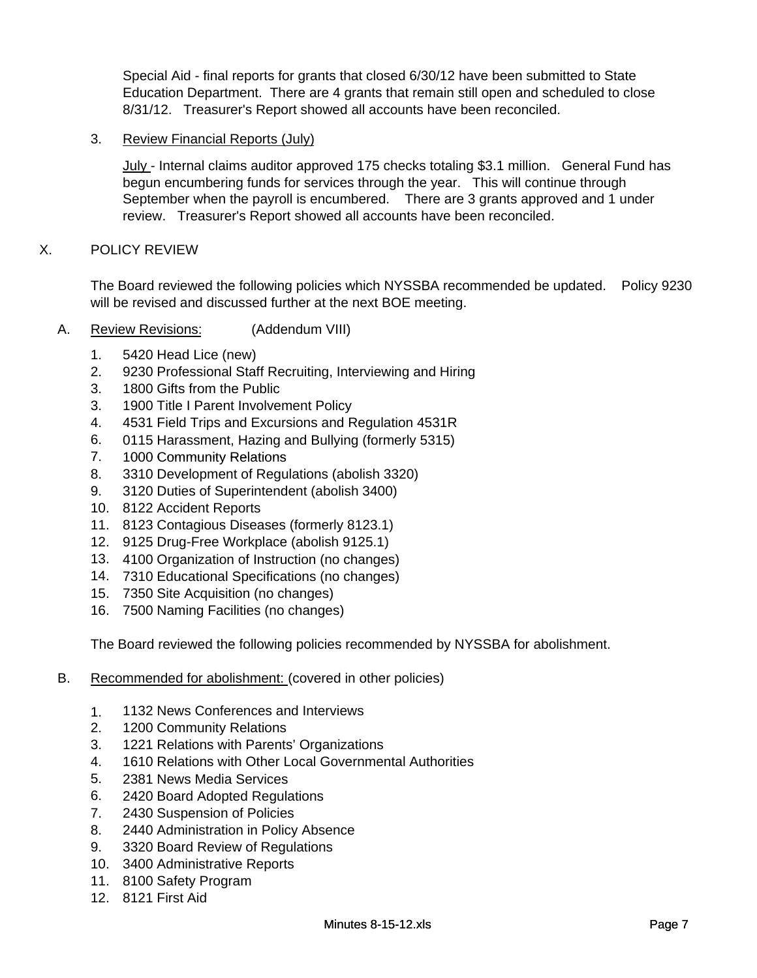Special Aid - final reports for grants that closed 6/30/12 have been submitted to State Education Department. There are 4 grants that remain still open and scheduled to close 8/31/12. Treasurer's Report showed all accounts have been reconciled.

# 3. Review Financial Reports (July)

July - Internal claims auditor approved 175 checks totaling \$3.1 million. General Fund has begun encumbering funds for services through the year. This will continue through September when the payroll is encumbered. There are 3 grants approved and 1 under review. Treasurer's Report showed all accounts have been reconciled.

## X. POLICY REVIEW

The Board reviewed the following policies which NYSSBA recommended be updated. Policy 9230 will be revised and discussed further at the next BOE meeting.

- A. Review Revisions: (Addendum VIII)
	- 1. 5420 Head Lice (new)
	- 2. 9230 Professional Staff Recruiting, Interviewing and Hiring
	- 3. 1800 Gifts from the Public
	- 3. 1900 Title I Parent Involvement Policy
	- 4. 4531 Field Trips and Excursions and Regulation 4531R
	- 6. 0115 Harassment, Hazing and Bullying (formerly 5315)
	- 7. 1000 Community Relations
	- 8. 3310 Development of Regulations (abolish 3320)
	- 9. 3120 Duties of Superintendent (abolish 3400)
	- 10. 8122 Accident Reports
	- 11. 8123 Contagious Diseases (formerly 8123.1)
	- 12. 9125 Drug-Free Workplace (abolish 9125.1)
	- 13. 4100 Organization of Instruction (no changes)
	- 14. 7310 Educational Specifications (no changes)
	- 15. 7350 Site Acquisition (no changes)
	- 16. 7500 Naming Facilities (no changes)

The Board reviewed the following policies recommended by NYSSBA for abolishment.

- B. Recommended for abolishment: (covered in other policies)
	- 1. 1132 News Conferences and Interviews
	- 2. 1200 Community Relations
	- 3. 1221 Relations with Parents' Organizations
	- 4. 1610 Relations with Other Local Governmental Authorities
	- 5. 2381 News Media Services
	- 6. 2420 Board Adopted Regulations
	- 7. 2430 Suspension of Policies
	- 8. 2440 Administration in Policy Absence
	- 9. 3320 Board Review of Regulations
	- 10. 3400 Administrative Reports
	- 11. 8100 Safety Program
	- 12. 8121 First Aid